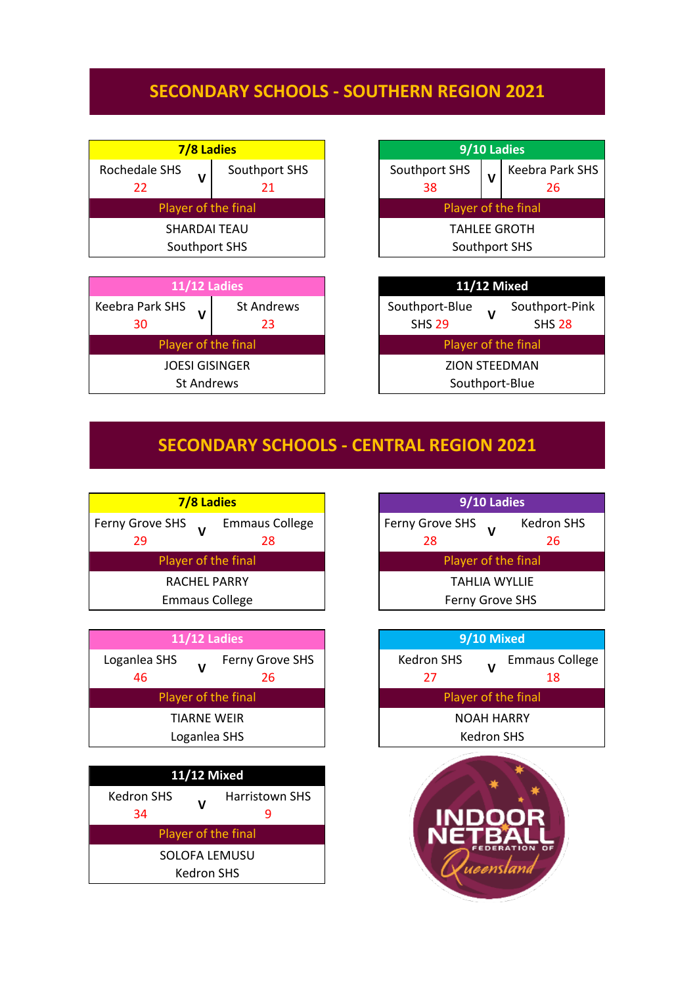## **SECONDARY SCHOOLS - SOUTHERN REGION 2021**

| 7/8 Ladies          |  |  |
|---------------------|--|--|
| Southport SHS<br>21 |  |  |
| Player of the final |  |  |
| SHARDAI TEAU        |  |  |
| Southport SHS       |  |  |
|                     |  |  |

| <b>11/12 Ladies</b>               |                         |  |
|-----------------------------------|-------------------------|--|
| <b>Keebra Park SHS</b><br>V<br>30 | <b>St Andrews</b><br>23 |  |
| Player of the final               |                         |  |
| <b>JOESI GISINGER</b>             |                         |  |
| <b>St Andrews</b>                 |                         |  |





## **SECONDARY SCHOOLS - CENTRAL REGION 2021**



| <b>11/12 Ladies</b>                         | 9/10 Mixed                      |
|---------------------------------------------|---------------------------------|
| Loganlea SHS<br>Ferny Grove SHS<br>46<br>26 | <b>Kedron SHS</b><br>Emma<br>27 |
| Player of the final                         | Player of the final             |
| <b>TIARNE WEIR</b>                          | <b>NOAH HARRY</b>               |
| Loganlea SHS                                | <b>Kedron SHS</b>               |
|                                             |                                 |

| <b>11/12 Mixed</b>  |   |                       |  |
|---------------------|---|-----------------------|--|
| Kedron SHS          | v | <b>Harristown SHS</b> |  |
| 34                  |   |                       |  |
| Player of the final |   |                       |  |
| SOLOFA LEMUSU       |   |                       |  |
| Kedron SHS          |   |                       |  |

| 9/10 Ladies            |                         |  |
|------------------------|-------------------------|--|
| Ferny Grove SHS<br>28  | <b>Kedron SHS</b><br>26 |  |
| Player of the final    |                         |  |
| TAHIJA WYIJJF          |                         |  |
| <b>Ferny Grove SHS</b> |                         |  |

| 9/10 Mixed          |              |                             |
|---------------------|--------------|-----------------------------|
| Kedron SHS<br>27    | $\mathbf{v}$ | <b>Emmaus College</b><br>18 |
| Player of the final |              |                             |
| <b>NOAH HARRY</b>   |              |                             |
| <b>Kedron SHS</b>   |              |                             |